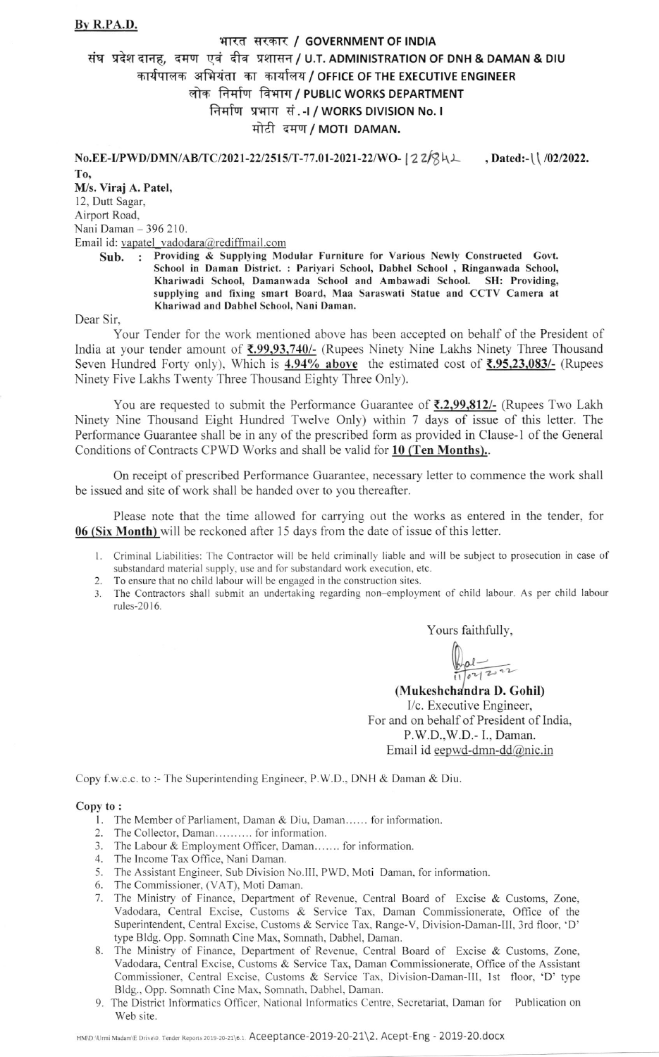## By R.PA.D.

## भारत सरकार / GOVERNMENT OF INDIA संघ प्रदेश दानह, दमण एवं दीव प्रशासन / U.T. ADMINISTRATION OF DNH & DAMAN & DIU कार्यपालक अभियंता का कार्यालय / OFFICE OF THE EXECUTIVE ENGINEER लोक निर्माण विभाग / PUBLIC WORKS DEPARTMENT निर्माण प्रभाग सं.-I / WORKS DIVISION No. I मोटी दमण / MOTI DAMAN.

No.EE-I/PWD/DMN/AB/TC/2021-22/2515/T-77.01-2021-22/WO- 22/841, Dated:-\\ /02/2022.

T<sub>0</sub>

M/s. Viraj A. Patel, 12, Dutt Sagar, Airport Road. Nani Daman - 396 210. Email id: vapatel vadodara@rediffmail.com

Sub. ; Providing & Supplying Modular Furniture for Various Newly Constructed Govt. School in Daman District. : Pariyari School, Dabhel School , Ringanwada School, Khariwadi School, Damanwada School and Ambawadi School. SH: Providing, supplying and fixing smart Board, Maa Saraswati Statue and CCTV Camera at Khariwad and Dabhel School, Nani Daman.

Dear Sir.

Your Tender for the work mentioned above has been accepted on behalf of the President of India at your tender amount of  $\zeta$ , 99, 93, 740/- (Rupees Ninety Nine Lakhs Ninety Three Thousand Seven Hundred Forty only), Which is  $4.94\%$  above the estimated cost of  $\overline{(}7.95,23.083/-$  (Rupees Ninety Five Lakhs Twenty Three Thousand Eighty Three Only).

You are requested to submit the Performance Guarantee of  $\bar{\tau}$ , 2,99,812/- (Rupees Two Lakh Ninety Nine Thousand Eight Hundred Twelve Only) within 7 days of issue of this letter. The Performance Guarantee shall be in any of the prescribed form as provided in Clause-1 of the General Conditions of Contracts CPWD Works and shall be valid for 10 (Ten Months).

On receipt of prescribed Performance Guarantee, necessary letter to commence the work shall be issued and site of work shall be handed over to you thereafter.

Please note that the time allowed for carrying out the works as entered in the tender, for 06 (Six Month) will be reckoned after 15 days from the date of issue of this letter.

- 1. Criminal Liabilities: The Contractor will be held criminally liable and will be subject to prosecution in case of substandard material supply, use and for substandard work execution, etc.
- 2. To ensure that no child labour will be engaged in the construction sites.
- 3. The Contractors shall submit an undertaking regarding non-employment of child labour. As per child labour rules-2016.

Yours faithfully,

 $\frac{1}{1004222}$ 

(Mukeshchandra D. Gohil) l/c. Executive Engineer, For and on behalf of President of India, P.W.D.,W.D.- I., Daman. Email id eepwd-dmn-dd@nic.in

Copy f.w.c.c. to:- The Superintending Engineer, P.W.D., DNH & Daman & Diu.

## copy t o:

- 1. The Member of Parliament, Daman & Diu, Daman...... for information
- 2. The Collector. Daman.......... for information.
- 3. The Labour & Employment Officer, Daman....... for information
- 4. The Income Tax Office, Nani Daman.
- 5. The Assistant Engineer, Sub Division No.lll, PWD, Moti Daman, for information.
- 6. The Commissioner, (VAT), Moti Daman.
- 7. The Ministry of Finance, Department of Revenue, Central Board of Excise & Customs, Zone, Vadodara, Central Excise, Customs & Service Tax, Daman Commissionerate, Office of the Superintendent, Central Excise, Customs & Service Tax, Range-V, Division-Daman-III, 3rd floor, 'D' type Bldg. Opp. Somnath Cine Max, Somnath, Dabhel, Daman.
- 8. The Ministry of Finance, Department of Revenue, Central Board of Excise & Customs, Zone, Vadodara, Central Excise, Customs & Service Tax, Daman Commissionerate, Office of the Assistant Commissioner, Central Excise, Customs & Service Tax, Division-Daman-III, 1st floor, 'D' type Bldg.. Opp. Somnath Cine Max, Somnath. Dabhel, Daman.
- 9. The District Informatics Officer, National Informatics Centre, Secretariat, Daman for Publication on Web site.